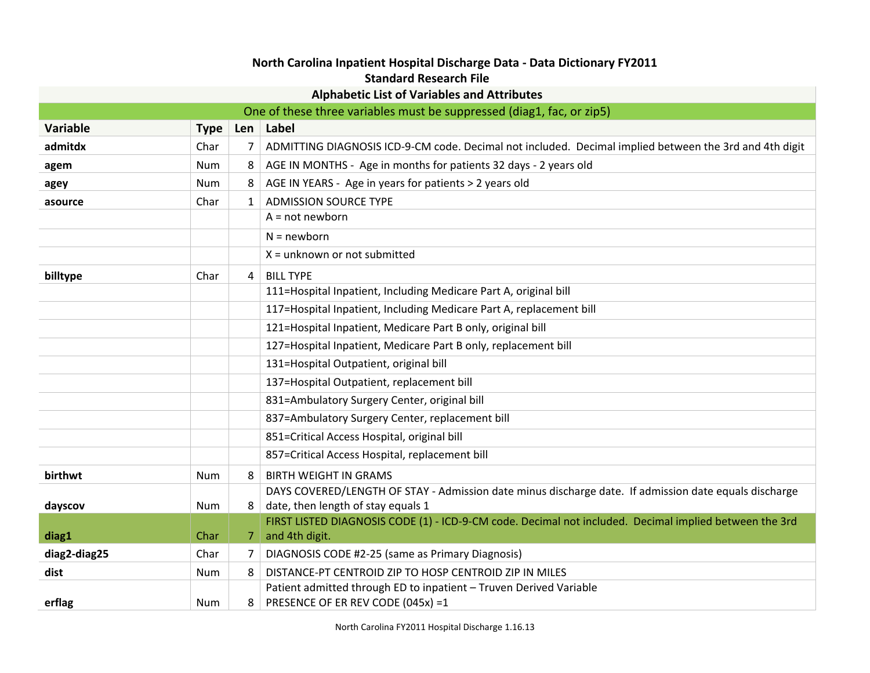## **North Carolina Inpatient Hospital Discharge Data - Data Dictionary FY2011 Standard Research File**

|                 |             |              | <b>Alphabetic List of Variables and Attributes</b>                                                                           |
|-----------------|-------------|--------------|------------------------------------------------------------------------------------------------------------------------------|
|                 |             |              | One of these three variables must be suppressed (diag1, fac, or zip5)                                                        |
| <b>Variable</b> | <b>Type</b> |              | Len   Label                                                                                                                  |
| admitdx         | Char        | 7            | ADMITTING DIAGNOSIS ICD-9-CM code. Decimal not included. Decimal implied between the 3rd and 4th digit                       |
| agem            | Num         | 8            | AGE IN MONTHS - Age in months for patients 32 days - 2 years old                                                             |
| agey            | Num         | 8            | AGE IN YEARS - Age in years for patients > 2 years old                                                                       |
| asource         | Char        | $\mathbf{1}$ | <b>ADMISSION SOURCE TYPE</b>                                                                                                 |
|                 |             |              | $A = not newborn$                                                                                                            |
|                 |             |              | $N = newborn$                                                                                                                |
|                 |             |              | $X =$ unknown or not submitted                                                                                               |
| billtype        | Char        | 4            | <b>BILL TYPE</b>                                                                                                             |
|                 |             |              | 111=Hospital Inpatient, Including Medicare Part A, original bill                                                             |
|                 |             |              | 117=Hospital Inpatient, Including Medicare Part A, replacement bill                                                          |
|                 |             |              | 121=Hospital Inpatient, Medicare Part B only, original bill                                                                  |
|                 |             |              | 127=Hospital Inpatient, Medicare Part B only, replacement bill                                                               |
|                 |             |              | 131=Hospital Outpatient, original bill                                                                                       |
|                 |             |              | 137=Hospital Outpatient, replacement bill                                                                                    |
|                 |             |              | 831=Ambulatory Surgery Center, original bill                                                                                 |
|                 |             |              | 837=Ambulatory Surgery Center, replacement bill                                                                              |
|                 |             |              | 851=Critical Access Hospital, original bill                                                                                  |
|                 |             |              | 857=Critical Access Hospital, replacement bill                                                                               |
| birthwt         | <b>Num</b>  | 8            | <b>BIRTH WEIGHT IN GRAMS</b>                                                                                                 |
|                 |             |              | DAYS COVERED/LENGTH OF STAY - Admission date minus discharge date. If admission date equals discharge                        |
| dayscov         | Num         | 8            | date, then length of stay equals 1                                                                                           |
| diag1           | Char        |              | FIRST LISTED DIAGNOSIS CODE (1) - ICD-9-CM code. Decimal not included. Decimal implied between the 3rd<br>and 4th digit.     |
|                 | Char        | 7.<br>7      | DIAGNOSIS CODE #2-25 (same as Primary Diagnosis)                                                                             |
| diag2-diag25    |             |              |                                                                                                                              |
| dist            | Num         | 8            | DISTANCE-PT CENTROID ZIP TO HOSP CENTROID ZIP IN MILES<br>Patient admitted through ED to inpatient - Truven Derived Variable |
| erflag          | Num         | 8            | PRESENCE OF ER REV CODE (045x) =1                                                                                            |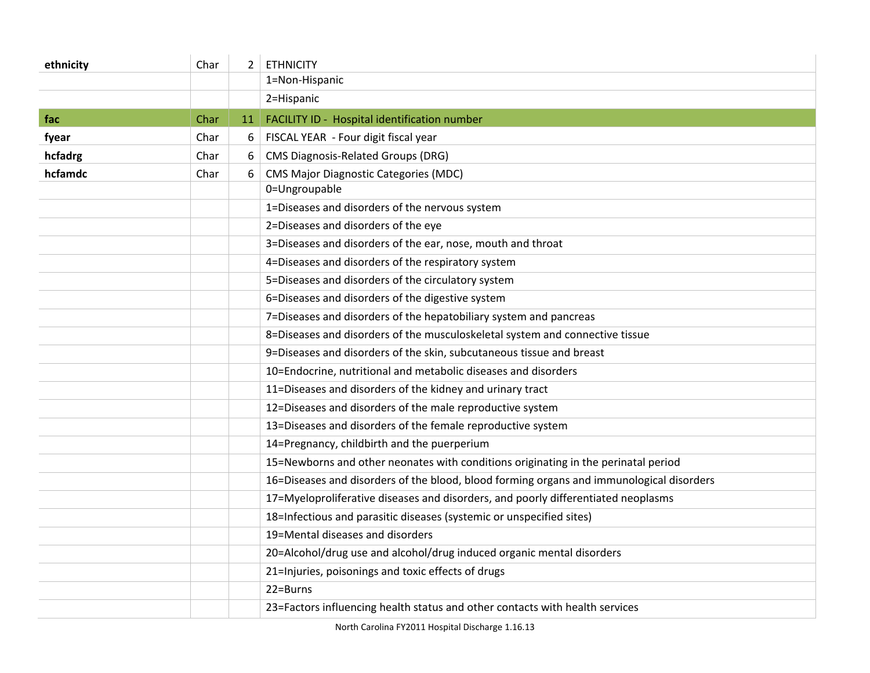| ethnicity | Char |    | $2$ ETHNICITY                                                                            |
|-----------|------|----|------------------------------------------------------------------------------------------|
|           |      |    | 1=Non-Hispanic                                                                           |
|           |      |    | 2=Hispanic                                                                               |
| fac       | Char | 11 | FACILITY ID - Hospital identification number                                             |
| fyear     | Char | 6  | FISCAL YEAR - Four digit fiscal year                                                     |
| hcfadrg   | Char | 6  | <b>CMS Diagnosis-Related Groups (DRG)</b>                                                |
| hcfamdc   | Char | 6  | <b>CMS Major Diagnostic Categories (MDC)</b>                                             |
|           |      |    | 0=Ungroupable                                                                            |
|           |      |    | 1=Diseases and disorders of the nervous system                                           |
|           |      |    | 2=Diseases and disorders of the eye                                                      |
|           |      |    | 3=Diseases and disorders of the ear, nose, mouth and throat                              |
|           |      |    | 4=Diseases and disorders of the respiratory system                                       |
|           |      |    | 5=Diseases and disorders of the circulatory system                                       |
|           |      |    | 6=Diseases and disorders of the digestive system                                         |
|           |      |    | 7=Diseases and disorders of the hepatobiliary system and pancreas                        |
|           |      |    | 8=Diseases and disorders of the musculoskeletal system and connective tissue             |
|           |      |    | 9=Diseases and disorders of the skin, subcutaneous tissue and breast                     |
|           |      |    | 10=Endocrine, nutritional and metabolic diseases and disorders                           |
|           |      |    | 11=Diseases and disorders of the kidney and urinary tract                                |
|           |      |    | 12=Diseases and disorders of the male reproductive system                                |
|           |      |    | 13=Diseases and disorders of the female reproductive system                              |
|           |      |    | 14=Pregnancy, childbirth and the puerperium                                              |
|           |      |    | 15=Newborns and other neonates with conditions originating in the perinatal period       |
|           |      |    | 16=Diseases and disorders of the blood, blood forming organs and immunological disorders |
|           |      |    | 17=Myeloproliferative diseases and disorders, and poorly differentiated neoplasms        |
|           |      |    | 18=Infectious and parasitic diseases (systemic or unspecified sites)                     |
|           |      |    | 19=Mental diseases and disorders                                                         |
|           |      |    | 20=Alcohol/drug use and alcohol/drug induced organic mental disorders                    |
|           |      |    | 21=Injuries, poisonings and toxic effects of drugs                                       |
|           |      |    | 22=Burns                                                                                 |
|           |      |    | 23=Factors influencing health status and other contacts with health services             |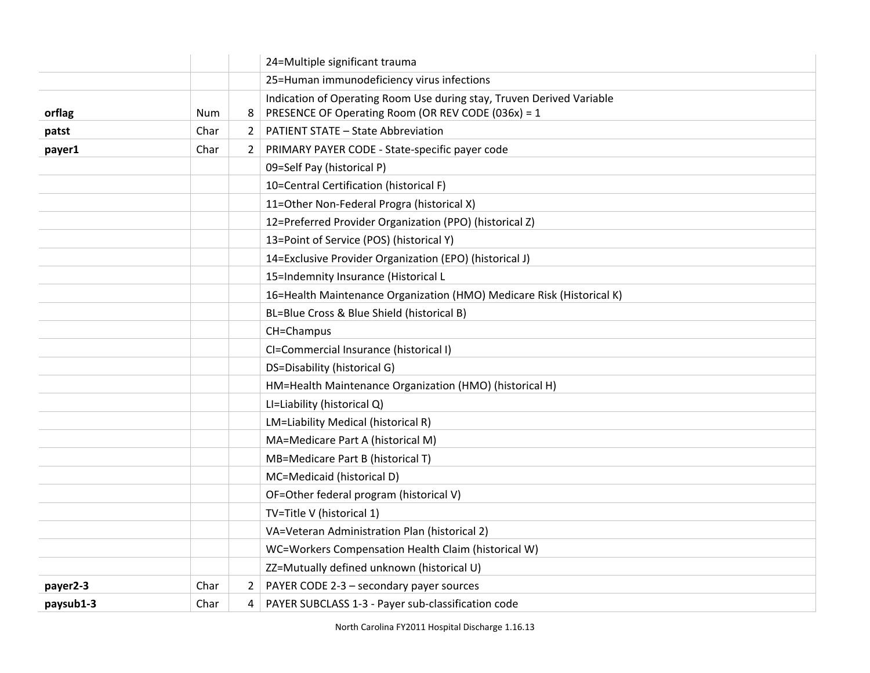|           |            |                | 24=Multiple significant trauma                                        |
|-----------|------------|----------------|-----------------------------------------------------------------------|
|           |            |                | 25=Human immunodeficiency virus infections                            |
|           |            |                | Indication of Operating Room Use during stay, Truven Derived Variable |
| orflag    | <b>Num</b> | 8              | PRESENCE OF Operating Room (OR REV CODE (036x) = 1                    |
| patst     | Char       | $\overline{2}$ | <b>PATIENT STATE - State Abbreviation</b>                             |
| payer1    | Char       | $\mathbf{2}$   | PRIMARY PAYER CODE - State-specific payer code                        |
|           |            |                | 09=Self Pay (historical P)                                            |
|           |            |                | 10=Central Certification (historical F)                               |
|           |            |                | 11=Other Non-Federal Progra (historical X)                            |
|           |            |                | 12=Preferred Provider Organization (PPO) (historical Z)               |
|           |            |                | 13=Point of Service (POS) (historical Y)                              |
|           |            |                | 14=Exclusive Provider Organization (EPO) (historical J)               |
|           |            |                | 15=Indemnity Insurance (Historical L                                  |
|           |            |                | 16=Health Maintenance Organization (HMO) Medicare Risk (Historical K) |
|           |            |                | BL=Blue Cross & Blue Shield (historical B)                            |
|           |            |                | CH=Champus                                                            |
|           |            |                | CI=Commercial Insurance (historical I)                                |
|           |            |                | DS=Disability (historical G)                                          |
|           |            |                | HM=Health Maintenance Organization (HMO) (historical H)               |
|           |            |                | LI=Liability (historical Q)                                           |
|           |            |                | LM=Liability Medical (historical R)                                   |
|           |            |                | MA=Medicare Part A (historical M)                                     |
|           |            |                | MB=Medicare Part B (historical T)                                     |
|           |            |                | MC=Medicaid (historical D)                                            |
|           |            |                | OF=Other federal program (historical V)                               |
|           |            |                | TV=Title V (historical 1)                                             |
|           |            |                | VA=Veteran Administration Plan (historical 2)                         |
|           |            |                | WC=Workers Compensation Health Claim (historical W)                   |
|           |            |                | ZZ=Mutually defined unknown (historical U)                            |
| payer2-3  | Char       | $\mathbf{2}$   | PAYER CODE 2-3 - secondary payer sources                              |
| paysub1-3 | Char       | 4              | PAYER SUBCLASS 1-3 - Payer sub-classification code                    |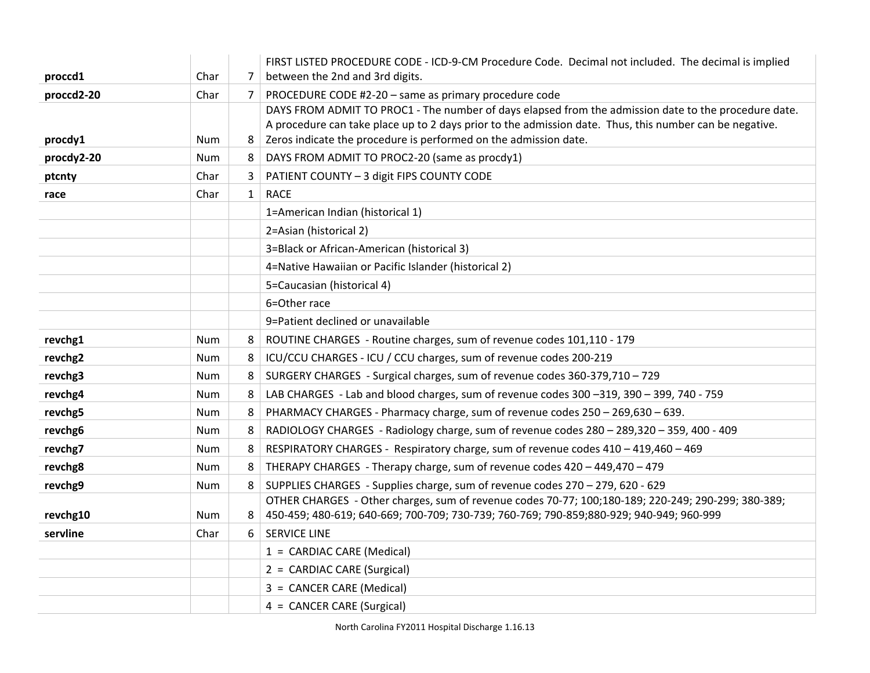|            |            |              | FIRST LISTED PROCEDURE CODE - ICD-9-CM Procedure Code. Decimal not included. The decimal is implied                                                                         |
|------------|------------|--------------|-----------------------------------------------------------------------------------------------------------------------------------------------------------------------------|
| proccd1    | Char       | 7            | between the 2nd and 3rd digits.                                                                                                                                             |
| proccd2-20 | Char       | 7            | PROCEDURE CODE #2-20 - same as primary procedure code                                                                                                                       |
|            |            |              | DAYS FROM ADMIT TO PROC1 - The number of days elapsed from the admission date to the procedure date.                                                                        |
| procdy1    | <b>Num</b> | 8            | A procedure can take place up to 2 days prior to the admission date. Thus, this number can be negative.<br>Zeros indicate the procedure is performed on the admission date. |
| procdy2-20 | <b>Num</b> | 8            | DAYS FROM ADMIT TO PROC2-20 (same as procdy1)                                                                                                                               |
|            |            |              |                                                                                                                                                                             |
| ptcnty     | Char       | 3            | PATIENT COUNTY - 3 digit FIPS COUNTY CODE                                                                                                                                   |
| race       | Char       | $\mathbf{1}$ | <b>RACE</b>                                                                                                                                                                 |
|            |            |              | 1=American Indian (historical 1)                                                                                                                                            |
|            |            |              | 2=Asian (historical 2)                                                                                                                                                      |
|            |            |              | 3=Black or African-American (historical 3)                                                                                                                                  |
|            |            |              | 4=Native Hawaiian or Pacific Islander (historical 2)                                                                                                                        |
|            |            |              | 5=Caucasian (historical 4)                                                                                                                                                  |
|            |            |              | 6=Other race                                                                                                                                                                |
|            |            |              | 9=Patient declined or unavailable                                                                                                                                           |
| revchg1    | Num        | 8            | ROUTINE CHARGES - Routine charges, sum of revenue codes 101,110 - 179                                                                                                       |
| revchg2    | Num        | 8            | ICU/CCU CHARGES - ICU / CCU charges, sum of revenue codes 200-219                                                                                                           |
| revchg3    | Num        | 8            | SURGERY CHARGES - Surgical charges, sum of revenue codes 360-379,710 - 729                                                                                                  |
| revchg4    | Num        | 8            | LAB CHARGES - Lab and blood charges, sum of revenue codes 300 -319, 390 - 399, 740 - 759                                                                                    |
| revchg5    | <b>Num</b> | 8            | PHARMACY CHARGES - Pharmacy charge, sum of revenue codes 250 - 269,630 - 639.                                                                                               |
| revchg6    | <b>Num</b> | 8            | RADIOLOGY CHARGES - Radiology charge, sum of revenue codes $280 - 289,320 - 359,400 - 409$                                                                                  |
| revchg7    | <b>Num</b> | 8            | RESPIRATORY CHARGES - Respiratory charge, sum of revenue codes 410 - 419,460 - 469                                                                                          |
| revchg8    | Num        | 8            | THERAPY CHARGES - Therapy charge, sum of revenue codes 420 - 449,470 - 479                                                                                                  |
| revchg9    | Num        | 8            | SUPPLIES CHARGES - Supplies charge, sum of revenue codes 270 - 279, 620 - 629                                                                                               |
|            |            |              | OTHER CHARGES - Other charges, sum of revenue codes 70-77; 100;180-189; 220-249; 290-299; 380-389;                                                                          |
| revchg10   | Num        | 8            | 450-459; 480-619; 640-669; 700-709; 730-739; 760-769; 790-859; 880-929; 940-949; 960-999                                                                                    |
| servline   | Char       | 6            | <b>SERVICE LINE</b>                                                                                                                                                         |
|            |            |              | $1 = \text{CARDIAC CARE}$ (Medical)                                                                                                                                         |
|            |            |              | 2 = CARDIAC CARE (Surgical)                                                                                                                                                 |
|            |            |              | 3 = CANCER CARE (Medical)                                                                                                                                                   |
|            |            |              | 4 = CANCER CARE (Surgical)                                                                                                                                                  |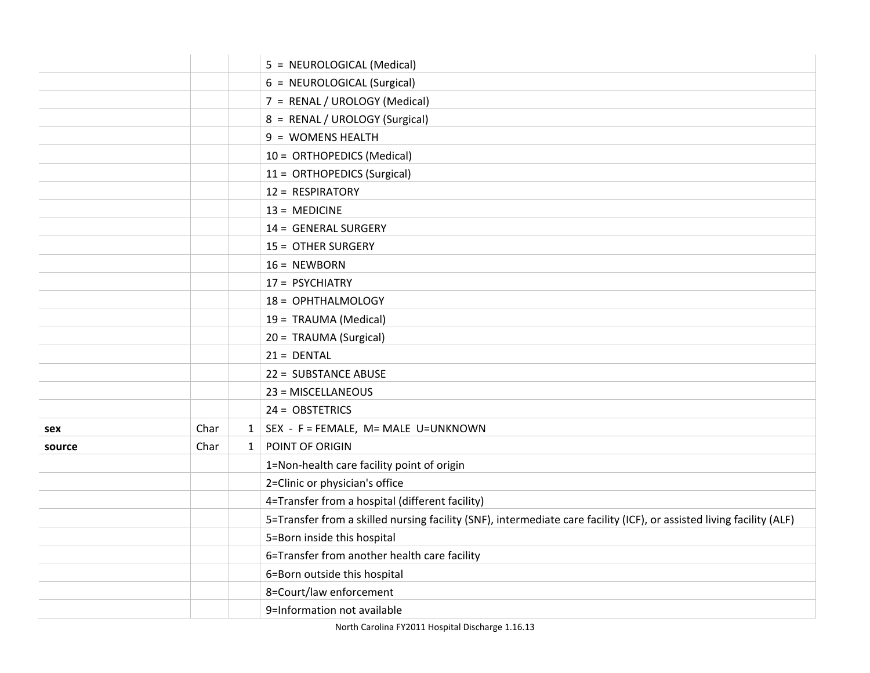|        |      |              | 5 = NEUROLOGICAL (Medical)                                                                                            |
|--------|------|--------------|-----------------------------------------------------------------------------------------------------------------------|
|        |      |              | 6 = NEUROLOGICAL (Surgical)                                                                                           |
|        |      |              | 7 = RENAL / UROLOGY (Medical)                                                                                         |
|        |      |              | 8 = RENAL / UROLOGY (Surgical)                                                                                        |
|        |      |              | 9 = WOMENS HEALTH                                                                                                     |
|        |      |              | 10 = ORTHOPEDICS (Medical)                                                                                            |
|        |      |              | 11 = ORTHOPEDICS (Surgical)                                                                                           |
|        |      |              | 12 = RESPIRATORY                                                                                                      |
|        |      |              | $13 = MEDICINE$                                                                                                       |
|        |      |              | 14 = GENERAL SURGERY                                                                                                  |
|        |      |              | 15 = OTHER SURGERY                                                                                                    |
|        |      |              | $16 = NEWBORN$                                                                                                        |
|        |      |              | 17 = PSYCHIATRY                                                                                                       |
|        |      |              | 18 = OPHTHALMOLOGY                                                                                                    |
|        |      |              | 19 = TRAUMA (Medical)                                                                                                 |
|        |      |              | 20 = TRAUMA (Surgical)                                                                                                |
|        |      |              | $21 = DENTAL$                                                                                                         |
|        |      |              | 22 = SUBSTANCE ABUSE                                                                                                  |
|        |      |              | 23 = MISCELLANEOUS                                                                                                    |
|        |      |              | 24 = OBSTETRICS                                                                                                       |
| sex    | Char | 1            | SEX - F = FEMALE, M= MALE U=UNKNOWN                                                                                   |
| source | Char | $\mathbf{1}$ | POINT OF ORIGIN                                                                                                       |
|        |      |              | 1=Non-health care facility point of origin                                                                            |
|        |      |              | 2=Clinic or physician's office                                                                                        |
|        |      |              | 4=Transfer from a hospital (different facility)                                                                       |
|        |      |              | 5=Transfer from a skilled nursing facility (SNF), intermediate care facility (ICF), or assisted living facility (ALF) |
|        |      |              | 5=Born inside this hospital                                                                                           |
|        |      |              | 6=Transfer from another health care facility                                                                          |
|        |      |              | 6=Born outside this hospital                                                                                          |
|        |      |              | 8=Court/law enforcement                                                                                               |
|        |      |              | 9=Information not available                                                                                           |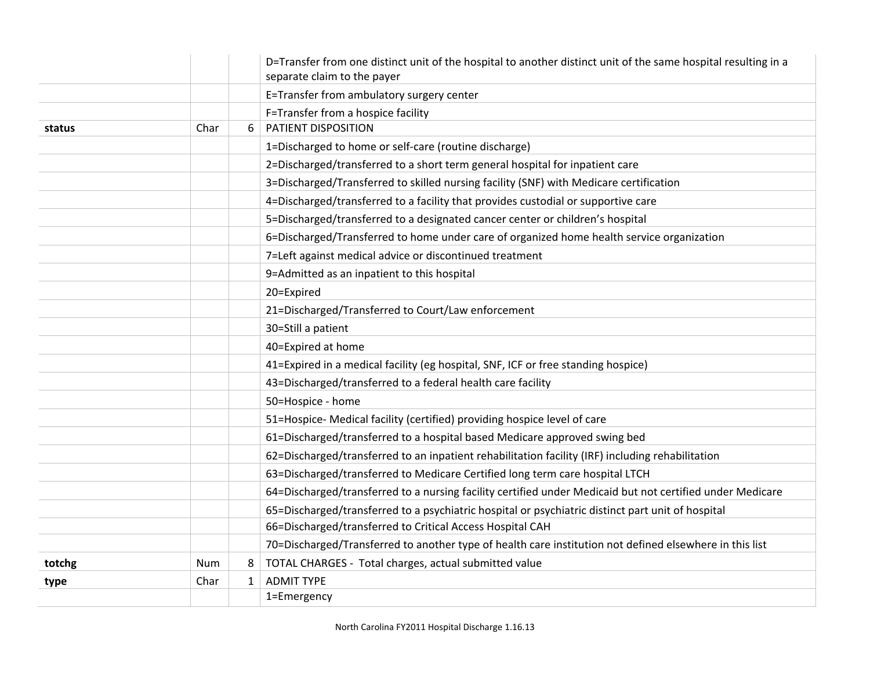|        |      |              | D=Transfer from one distinct unit of the hospital to another distinct unit of the same hospital resulting in a<br>separate claim to the payer |
|--------|------|--------------|-----------------------------------------------------------------------------------------------------------------------------------------------|
|        |      |              | E=Transfer from ambulatory surgery center                                                                                                     |
|        |      |              | F=Transfer from a hospice facility                                                                                                            |
| status | Char | 6            | PATIENT DISPOSITION                                                                                                                           |
|        |      |              | 1=Discharged to home or self-care (routine discharge)                                                                                         |
|        |      |              | 2=Discharged/transferred to a short term general hospital for inpatient care                                                                  |
|        |      |              | 3=Discharged/Transferred to skilled nursing facility (SNF) with Medicare certification                                                        |
|        |      |              | 4=Discharged/transferred to a facility that provides custodial or supportive care                                                             |
|        |      |              | 5=Discharged/transferred to a designated cancer center or children's hospital                                                                 |
|        |      |              | 6=Discharged/Transferred to home under care of organized home health service organization                                                     |
|        |      |              | 7=Left against medical advice or discontinued treatment                                                                                       |
|        |      |              | 9=Admitted as an inpatient to this hospital                                                                                                   |
|        |      |              | 20=Expired                                                                                                                                    |
|        |      |              | 21=Discharged/Transferred to Court/Law enforcement                                                                                            |
|        |      |              | 30=Still a patient                                                                                                                            |
|        |      |              | 40=Expired at home                                                                                                                            |
|        |      |              | 41=Expired in a medical facility (eg hospital, SNF, ICF or free standing hospice)                                                             |
|        |      |              | 43=Discharged/transferred to a federal health care facility                                                                                   |
|        |      |              | 50=Hospice - home                                                                                                                             |
|        |      |              | 51=Hospice- Medical facility (certified) providing hospice level of care                                                                      |
|        |      |              | 61=Discharged/transferred to a hospital based Medicare approved swing bed                                                                     |
|        |      |              | 62=Discharged/transferred to an inpatient rehabilitation facility (IRF) including rehabilitation                                              |
|        |      |              | 63=Discharged/transferred to Medicare Certified long term care hospital LTCH                                                                  |
|        |      |              | 64=Discharged/transferred to a nursing facility certified under Medicaid but not certified under Medicare                                     |
|        |      |              | 65=Discharged/transferred to a psychiatric hospital or psychiatric distinct part unit of hospital                                             |
|        |      |              | 66=Discharged/transferred to Critical Access Hospital CAH                                                                                     |
|        |      |              | 70=Discharged/Transferred to another type of health care institution not defined elsewhere in this list                                       |
| totchg | Num  | 8            | TOTAL CHARGES - Total charges, actual submitted value                                                                                         |
| type   | Char | $\mathbf{1}$ | <b>ADMIT TYPE</b>                                                                                                                             |
|        |      |              | 1=Emergency                                                                                                                                   |